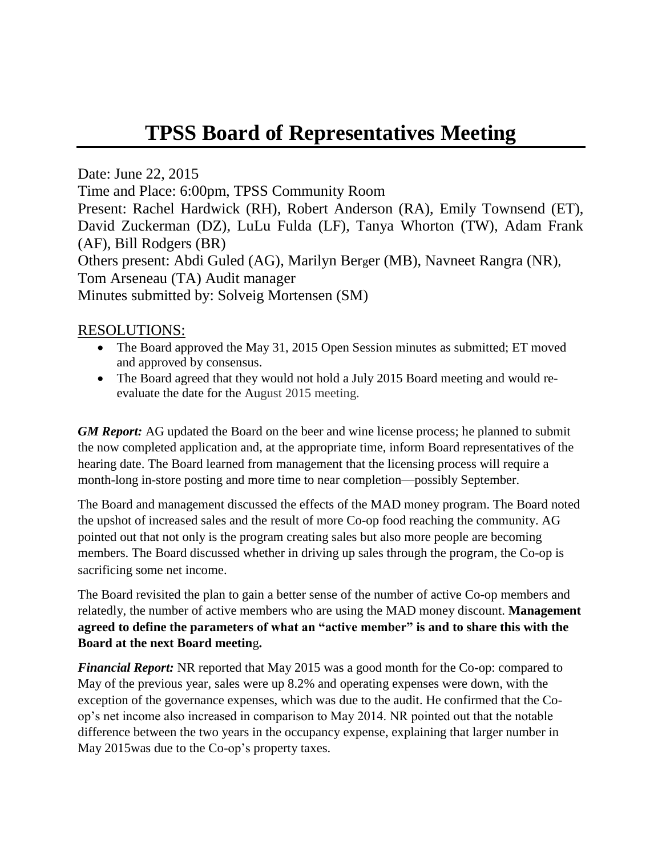## **TPSS Board of Representatives Meeting**

Date: June 22, 2015

Time and Place: 6:00pm, TPSS Community Room

Present: Rachel Hardwick (RH), Robert Anderson (RA), Emily Townsend (ET), David Zuckerman (DZ), LuLu Fulda (LF), Tanya Whorton (TW), Adam Frank (AF), Bill Rodgers (BR) Others present: Abdi Guled (AG), Marilyn Berger (MB), Navneet Rangra (NR), Tom Arseneau (TA) Audit manager

Minutes submitted by: Solveig Mortensen (SM)

## RESOLUTIONS:

- The Board approved the May 31, 2015 Open Session minutes as submitted; ET moved and approved by consensus.
- The Board agreed that they would not hold a July 2015 Board meeting and would reevaluate the date for the August 2015 meeting.

*GM Report:* AG updated the Board on the beer and wine license process; he planned to submit the now completed application and, at the appropriate time, inform Board representatives of the hearing date. The Board learned from management that the licensing process will require a month-long in-store posting and more time to near completion—possibly September.

The Board and management discussed the effects of the MAD money program. The Board noted the upshot of increased sales and the result of more Co-op food reaching the community. AG pointed out that not only is the program creating sales but also more people are becoming members. The Board discussed whether in driving up sales through the program, the Co-op is sacrificing some net income.

The Board revisited the plan to gain a better sense of the number of active Co-op members and relatedly, the number of active members who are using the MAD money discount. **Management agreed to define the parameters of what an "active member" is and to share this with the Board at the next Board meetin**g**.**

*Financial Report:* NR reported that May 2015 was a good month for the Co-op: compared to May of the previous year, sales were up 8.2% and operating expenses were down, with the exception of the governance expenses, which was due to the audit. He confirmed that the Coop's net income also increased in comparison to May 2014. NR pointed out that the notable difference between the two years in the occupancy expense, explaining that larger number in May 2015was due to the Co-op's property taxes.